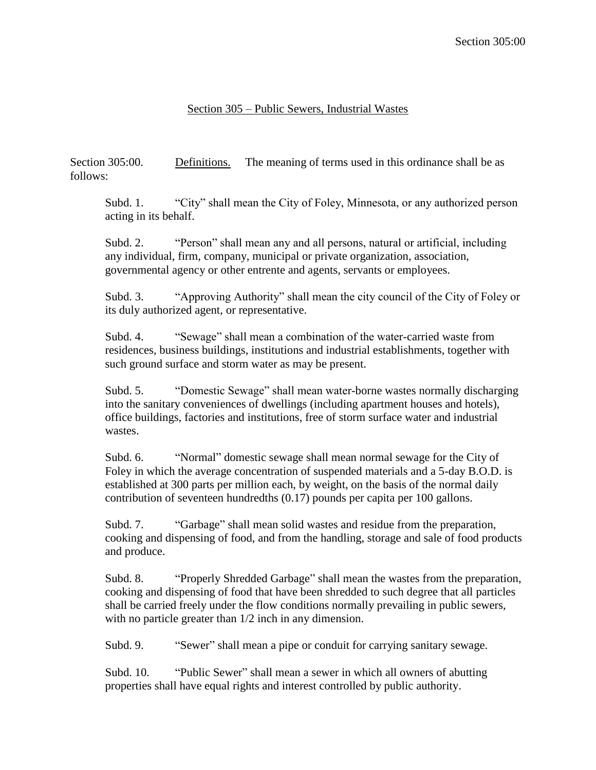## Section 305 – Public Sewers, Industrial Wastes

Section 305:00. Definitions. The meaning of terms used in this ordinance shall be as follows:

Subd. 1. "City" shall mean the City of Foley, Minnesota, or any authorized person acting in its behalf.

Subd. 2. "Person" shall mean any and all persons, natural or artificial, including any individual, firm, company, municipal or private organization, association, governmental agency or other entrente and agents, servants or employees.

Subd. 3. "Approving Authority" shall mean the city council of the City of Foley or its duly authorized agent, or representative.

Subd. 4. "Sewage" shall mean a combination of the water-carried waste from residences, business buildings, institutions and industrial establishments, together with such ground surface and storm water as may be present.

Subd. 5. "Domestic Sewage" shall mean water-borne wastes normally discharging into the sanitary conveniences of dwellings (including apartment houses and hotels), office buildings, factories and institutions, free of storm surface water and industrial wastes.

Subd. 6. "Normal" domestic sewage shall mean normal sewage for the City of Foley in which the average concentration of suspended materials and a 5-day B.O.D. is established at 300 parts per million each, by weight, on the basis of the normal daily contribution of seventeen hundredths (0.17) pounds per capita per 100 gallons.

Subd. 7. "Garbage" shall mean solid wastes and residue from the preparation, cooking and dispensing of food, and from the handling, storage and sale of food products and produce.

Subd. 8. "Properly Shredded Garbage" shall mean the wastes from the preparation, cooking and dispensing of food that have been shredded to such degree that all particles shall be carried freely under the flow conditions normally prevailing in public sewers, with no particle greater than  $1/2$  inch in any dimension.

Subd. 9. "Sewer" shall mean a pipe or conduit for carrying sanitary sewage.

Subd. 10. "Public Sewer" shall mean a sewer in which all owners of abutting properties shall have equal rights and interest controlled by public authority.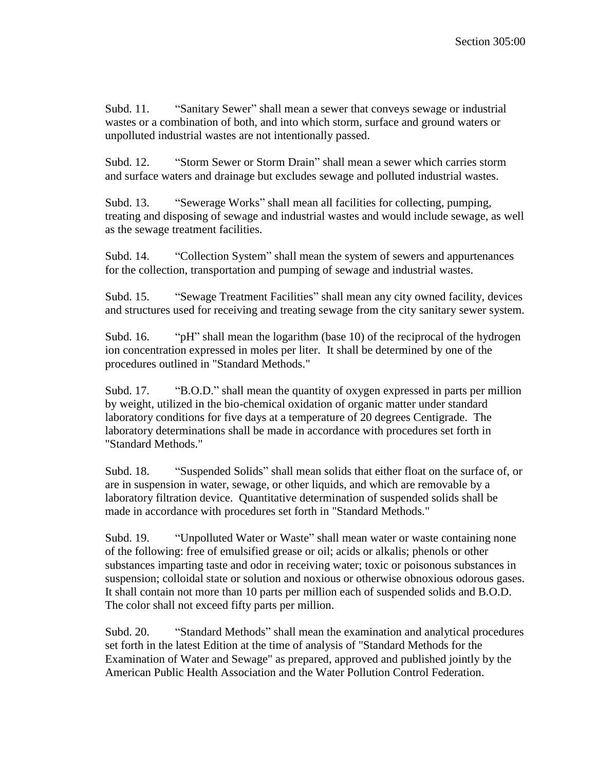Subd. 11. "Sanitary Sewer" shall mean a sewer that conveys sewage or industrial wastes or a combination of both, and into which storm, surface and ground waters or unpolluted industrial wastes are not intentionally passed.

Subd. 12. "Storm Sewer or Storm Drain" shall mean a sewer which carries storm and surface waters and drainage but excludes sewage and polluted industrial wastes.

Subd. 13. "Sewerage Works" shall mean all facilities for collecting, pumping, treating and disposing of sewage and industrial wastes and would include sewage, as well as the sewage treatment facilities.

Subd. 14. "Collection System" shall mean the system of sewers and appurtenances for the collection, transportation and pumping of sewage and industrial wastes.

Subd. 15. "Sewage Treatment Facilities" shall mean any city owned facility, devices and structures used for receiving and treating sewage from the city sanitary sewer system.

Subd. 16. "pH" shall mean the logarithm (base 10) of the reciprocal of the hydrogen ion concentration expressed in moles per liter. It shall be determined by one of the procedures outlined in "Standard Methods."

Subd. 17. "B.O.D." shall mean the quantity of oxygen expressed in parts per million by weight, utilized in the bio-chemical oxidation of organic matter under standard laboratory conditions for five days at a temperature of 20 degrees Centigrade. The laboratory determinations shall be made in accordance with procedures set forth in "Standard Methods."

Subd. 18. "Suspended Solids" shall mean solids that either float on the surface of, or are in suspension in water, sewage, or other liquids, and which are removable by a laboratory filtration device. Quantitative determination of suspended solids shall be made in accordance with procedures set forth in "Standard Methods."

Subd. 19. "Unpolluted Water or Waste" shall mean water or waste containing none of the following: free of emulsified grease or oil; acids or alkalis; phenols or other substances imparting taste and odor in receiving water; toxic or poisonous substances in suspension; colloidal state or solution and noxious or otherwise obnoxious odorous gases. It shall contain not more than 10 parts per million each of suspended solids and B.O.D. The color shall not exceed fifty parts per million.

Subd. 20. "Standard Methods" shall mean the examination and analytical procedures set forth in the latest Edition at the time of analysis of "Standard Methods for the Examination of Water and Sewage" as prepared, approved and published jointly by the American Public Health Association and the Water Pollution Control Federation.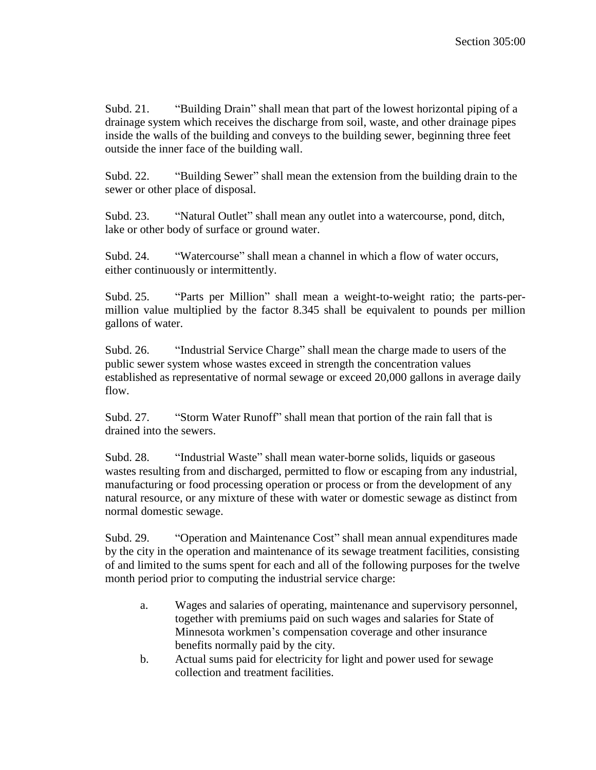Subd. 21. "Building Drain" shall mean that part of the lowest horizontal piping of a drainage system which receives the discharge from soil, waste, and other drainage pipes inside the walls of the building and conveys to the building sewer, beginning three feet outside the inner face of the building wall.

Subd. 22. "Building Sewer" shall mean the extension from the building drain to the sewer or other place of disposal.

Subd. 23. "Natural Outlet" shall mean any outlet into a watercourse, pond, ditch, lake or other body of surface or ground water.

Subd. 24. "Watercourse" shall mean a channel in which a flow of water occurs, either continuously or intermittently.

Subd. 25. "Parts per Million" shall mean a weight-to-weight ratio; the parts-permillion value multiplied by the factor 8.345 shall be equivalent to pounds per million gallons of water.

Subd. 26. "Industrial Service Charge" shall mean the charge made to users of the public sewer system whose wastes exceed in strength the concentration values established as representative of normal sewage or exceed 20,000 gallons in average daily flow.

Subd. 27. "Storm Water Runoff" shall mean that portion of the rain fall that is drained into the sewers.

Subd. 28. "Industrial Waste" shall mean water-borne solids, liquids or gaseous wastes resulting from and discharged, permitted to flow or escaping from any industrial, manufacturing or food processing operation or process or from the development of any natural resource, or any mixture of these with water or domestic sewage as distinct from normal domestic sewage.

Subd. 29. "Operation and Maintenance Cost" shall mean annual expenditures made by the city in the operation and maintenance of its sewage treatment facilities, consisting of and limited to the sums spent for each and all of the following purposes for the twelve month period prior to computing the industrial service charge:

- a. Wages and salaries of operating, maintenance and supervisory personnel, together with premiums paid on such wages and salaries for State of Minnesota workmen's compensation coverage and other insurance benefits normally paid by the city.
- b. Actual sums paid for electricity for light and power used for sewage collection and treatment facilities.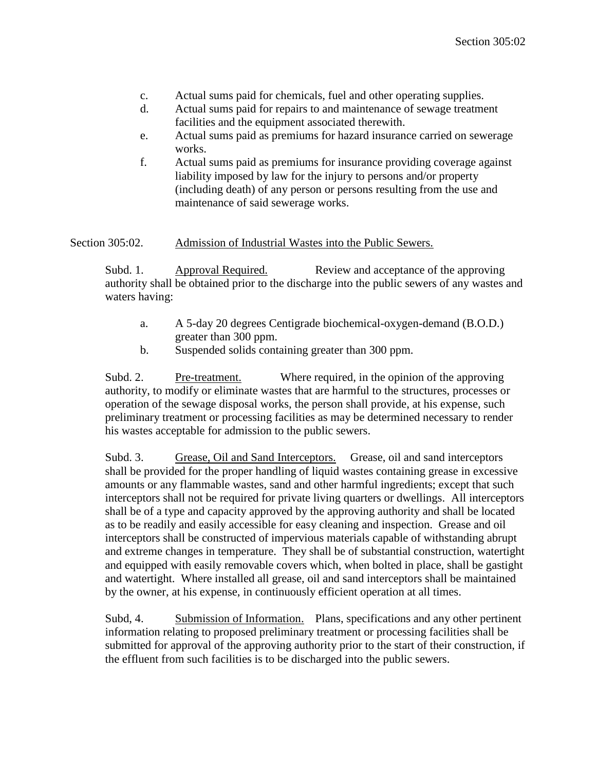- c. Actual sums paid for chemicals, fuel and other operating supplies.
- d. Actual sums paid for repairs to and maintenance of sewage treatment facilities and the equipment associated therewith.
- e. Actual sums paid as premiums for hazard insurance carried on sewerage works.
- f. Actual sums paid as premiums for insurance providing coverage against liability imposed by law for the injury to persons and/or property (including death) of any person or persons resulting from the use and maintenance of said sewerage works.

Section 305:02. Admission of Industrial Wastes into the Public Sewers.

Subd. 1. Approval Required. Review and acceptance of the approving authority shall be obtained prior to the discharge into the public sewers of any wastes and waters having:

- a. A 5-day 20 degrees Centigrade biochemical-oxygen-demand (B.O.D.) greater than 300 ppm.
- b. Suspended solids containing greater than 300 ppm.

Subd. 2. Pre-treatment. Where required, in the opinion of the approving authority, to modify or eliminate wastes that are harmful to the structures, processes or operation of the sewage disposal works, the person shall provide, at his expense, such preliminary treatment or processing facilities as may be determined necessary to render his wastes acceptable for admission to the public sewers.

Subd. 3. Grease, Oil and Sand Interceptors. Grease, oil and sand interceptors shall be provided for the proper handling of liquid wastes containing grease in excessive amounts or any flammable wastes, sand and other harmful ingredients; except that such interceptors shall not be required for private living quarters or dwellings. All interceptors shall be of a type and capacity approved by the approving authority and shall be located as to be readily and easily accessible for easy cleaning and inspection. Grease and oil interceptors shall be constructed of impervious materials capable of withstanding abrupt and extreme changes in temperature. They shall be of substantial construction, watertight and equipped with easily removable covers which, when bolted in place, shall be gastight and watertight. Where installed all grease, oil and sand interceptors shall be maintained by the owner, at his expense, in continuously efficient operation at all times.

Subd, 4. Submission of Information. Plans, specifications and any other pertinent information relating to proposed preliminary treatment or processing facilities shall be submitted for approval of the approving authority prior to the start of their construction, if the effluent from such facilities is to be discharged into the public sewers.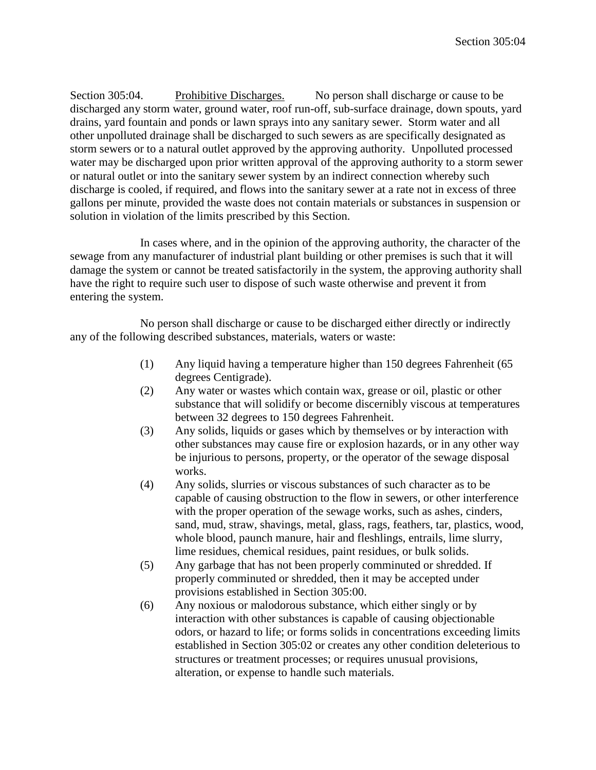Section 305:04. Prohibitive Discharges. No person shall discharge or cause to be discharged any storm water, ground water, roof run-off, sub-surface drainage, down spouts, yard drains, yard fountain and ponds or lawn sprays into any sanitary sewer. Storm water and all other unpolluted drainage shall be discharged to such sewers as are specifically designated as storm sewers or to a natural outlet approved by the approving authority. Unpolluted processed water may be discharged upon prior written approval of the approving authority to a storm sewer or natural outlet or into the sanitary sewer system by an indirect connection whereby such discharge is cooled, if required, and flows into the sanitary sewer at a rate not in excess of three gallons per minute, provided the waste does not contain materials or substances in suspension or solution in violation of the limits prescribed by this Section.

In cases where, and in the opinion of the approving authority, the character of the sewage from any manufacturer of industrial plant building or other premises is such that it will damage the system or cannot be treated satisfactorily in the system, the approving authority shall have the right to require such user to dispose of such waste otherwise and prevent it from entering the system.

No person shall discharge or cause to be discharged either directly or indirectly any of the following described substances, materials, waters or waste:

- (1) Any liquid having a temperature higher than 150 degrees Fahrenheit (65 degrees Centigrade).
- (2) Any water or wastes which contain wax, grease or oil, plastic or other substance that will solidify or become discernibly viscous at temperatures between 32 degrees to 150 degrees Fahrenheit.
- (3) Any solids, liquids or gases which by themselves or by interaction with other substances may cause fire or explosion hazards, or in any other way be injurious to persons, property, or the operator of the sewage disposal works.
- (4) Any solids, slurries or viscous substances of such character as to be capable of causing obstruction to the flow in sewers, or other interference with the proper operation of the sewage works, such as ashes, cinders, sand, mud, straw, shavings, metal, glass, rags, feathers, tar, plastics, wood, whole blood, paunch manure, hair and fleshlings, entrails, lime slurry, lime residues, chemical residues, paint residues, or bulk solids.
- (5) Any garbage that has not been properly comminuted or shredded. If properly comminuted or shredded, then it may be accepted under provisions established in Section 305:00.
- (6) Any noxious or malodorous substance, which either singly or by interaction with other substances is capable of causing objectionable odors, or hazard to life; or forms solids in concentrations exceeding limits established in Section 305:02 or creates any other condition deleterious to structures or treatment processes; or requires unusual provisions, alteration, or expense to handle such materials.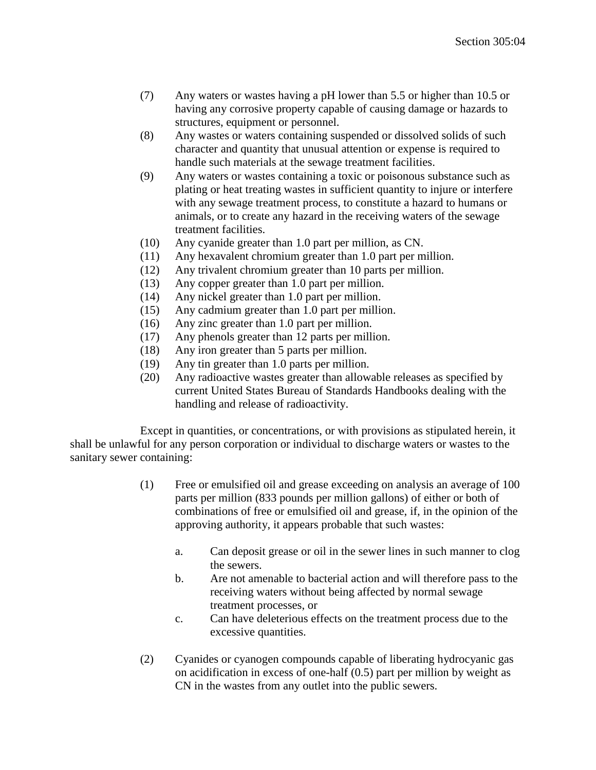- (7) Any waters or wastes having a pH lower than 5.5 or higher than 10.5 or having any corrosive property capable of causing damage or hazards to structures, equipment or personnel.
- (8) Any wastes or waters containing suspended or dissolved solids of such character and quantity that unusual attention or expense is required to handle such materials at the sewage treatment facilities.
- (9) Any waters or wastes containing a toxic or poisonous substance such as plating or heat treating wastes in sufficient quantity to injure or interfere with any sewage treatment process, to constitute a hazard to humans or animals, or to create any hazard in the receiving waters of the sewage treatment facilities.
- (10) Any cyanide greater than 1.0 part per million, as CN.
- (11) Any hexavalent chromium greater than 1.0 part per million.
- (12) Any trivalent chromium greater than 10 parts per million.
- (13) Any copper greater than 1.0 part per million.
- (14) Any nickel greater than 1.0 part per million.
- (15) Any cadmium greater than 1.0 part per million.
- (16) Any zinc greater than 1.0 part per million.
- (17) Any phenols greater than 12 parts per million.
- (18) Any iron greater than 5 parts per million.
- (19) Any tin greater than 1.0 parts per million.
- (20) Any radioactive wastes greater than allowable releases as specified by current United States Bureau of Standards Handbooks dealing with the handling and release of radioactivity.

Except in quantities, or concentrations, or with provisions as stipulated herein, it shall be unlawful for any person corporation or individual to discharge waters or wastes to the sanitary sewer containing:

- (1) Free or emulsified oil and grease exceeding on analysis an average of 100 parts per million (833 pounds per million gallons) of either or both of combinations of free or emulsified oil and grease, if, in the opinion of the approving authority, it appears probable that such wastes:
	- a. Can deposit grease or oil in the sewer lines in such manner to clog the sewers.
	- b. Are not amenable to bacterial action and will therefore pass to the receiving waters without being affected by normal sewage treatment processes, or
	- c. Can have deleterious effects on the treatment process due to the excessive quantities.
- (2) Cyanides or cyanogen compounds capable of liberating hydrocyanic gas on acidification in excess of one-half (0.5) part per million by weight as CN in the wastes from any outlet into the public sewers.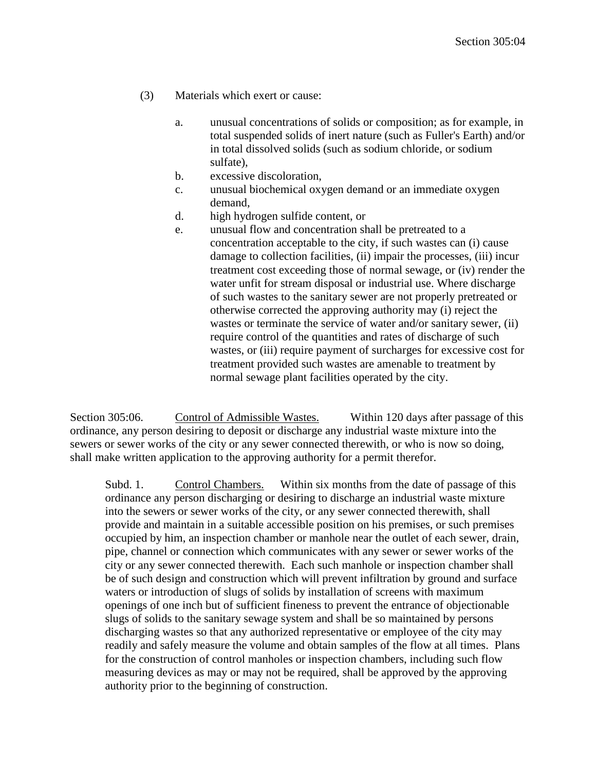- (3) Materials which exert or cause:
	- a. unusual concentrations of solids or composition; as for example, in total suspended solids of inert nature (such as Fuller's Earth) and/or in total dissolved solids (such as sodium chloride, or sodium sulfate),
	- b. excessive discoloration,
	- c. unusual biochemical oxygen demand or an immediate oxygen demand,
	- d. high hydrogen sulfide content, or
	- e. unusual flow and concentration shall be pretreated to a concentration acceptable to the city, if such wastes can (i) cause damage to collection facilities, (ii) impair the processes, (iii) incur treatment cost exceeding those of normal sewage, or (iv) render the water unfit for stream disposal or industrial use. Where discharge of such wastes to the sanitary sewer are not properly pretreated or otherwise corrected the approving authority may (i) reject the wastes or terminate the service of water and/or sanitary sewer, (ii) require control of the quantities and rates of discharge of such wastes, or (iii) require payment of surcharges for excessive cost for treatment provided such wastes are amenable to treatment by normal sewage plant facilities operated by the city.

Section 305:06. Control of Admissible Wastes. Within 120 days after passage of this ordinance, any person desiring to deposit or discharge any industrial waste mixture into the sewers or sewer works of the city or any sewer connected therewith, or who is now so doing, shall make written application to the approving authority for a permit therefor.

Subd. 1. Control Chambers. Within six months from the date of passage of this ordinance any person discharging or desiring to discharge an industrial waste mixture into the sewers or sewer works of the city, or any sewer connected therewith, shall provide and maintain in a suitable accessible position on his premises, or such premises occupied by him, an inspection chamber or manhole near the outlet of each sewer, drain, pipe, channel or connection which communicates with any sewer or sewer works of the city or any sewer connected therewith. Each such manhole or inspection chamber shall be of such design and construction which will prevent infiltration by ground and surface waters or introduction of slugs of solids by installation of screens with maximum openings of one inch but of sufficient fineness to prevent the entrance of objectionable slugs of solids to the sanitary sewage system and shall be so maintained by persons discharging wastes so that any authorized representative or employee of the city may readily and safely measure the volume and obtain samples of the flow at all times. Plans for the construction of control manholes or inspection chambers, including such flow measuring devices as may or may not be required, shall be approved by the approving authority prior to the beginning of construction.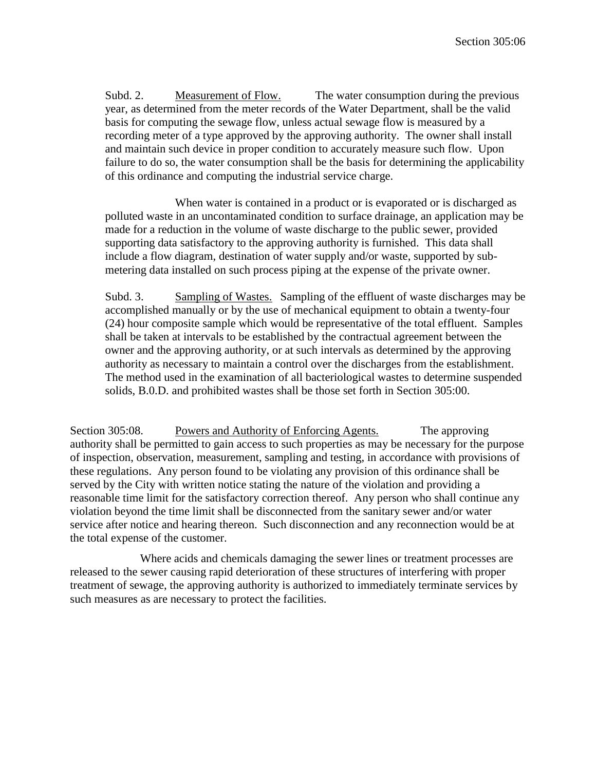Subd. 2. Measurement of Flow. The water consumption during the previous year, as determined from the meter records of the Water Department, shall be the valid basis for computing the sewage flow, unless actual sewage flow is measured by a recording meter of a type approved by the approving authority. The owner shall install and maintain such device in proper condition to accurately measure such flow. Upon failure to do so, the water consumption shall be the basis for determining the applicability of this ordinance and computing the industrial service charge.

When water is contained in a product or is evaporated or is discharged as polluted waste in an uncontaminated condition to surface drainage, an application may be made for a reduction in the volume of waste discharge to the public sewer, provided supporting data satisfactory to the approving authority is furnished. This data shall include a flow diagram, destination of water supply and/or waste, supported by submetering data installed on such process piping at the expense of the private owner.

Subd. 3. Sampling of Wastes. Sampling of the effluent of waste discharges may be accomplished manually or by the use of mechanical equipment to obtain a twenty-four (24) hour composite sample which would be representative of the total effluent. Samples shall be taken at intervals to be established by the contractual agreement between the owner and the approving authority, or at such intervals as determined by the approving authority as necessary to maintain a control over the discharges from the establishment. The method used in the examination of all bacteriological wastes to determine suspended solids, B.0.D. and prohibited wastes shall be those set forth in Section 305:00.

Section 305:08. Powers and Authority of Enforcing Agents. The approving authority shall be permitted to gain access to such properties as may be necessary for the purpose of inspection, observation, measurement, sampling and testing, in accordance with provisions of these regulations. Any person found to be violating any provision of this ordinance shall be served by the City with written notice stating the nature of the violation and providing a reasonable time limit for the satisfactory correction thereof. Any person who shall continue any violation beyond the time limit shall be disconnected from the sanitary sewer and/or water service after notice and hearing thereon. Such disconnection and any reconnection would be at the total expense of the customer.

Where acids and chemicals damaging the sewer lines or treatment processes are released to the sewer causing rapid deterioration of these structures of interfering with proper treatment of sewage, the approving authority is authorized to immediately terminate services by such measures as are necessary to protect the facilities.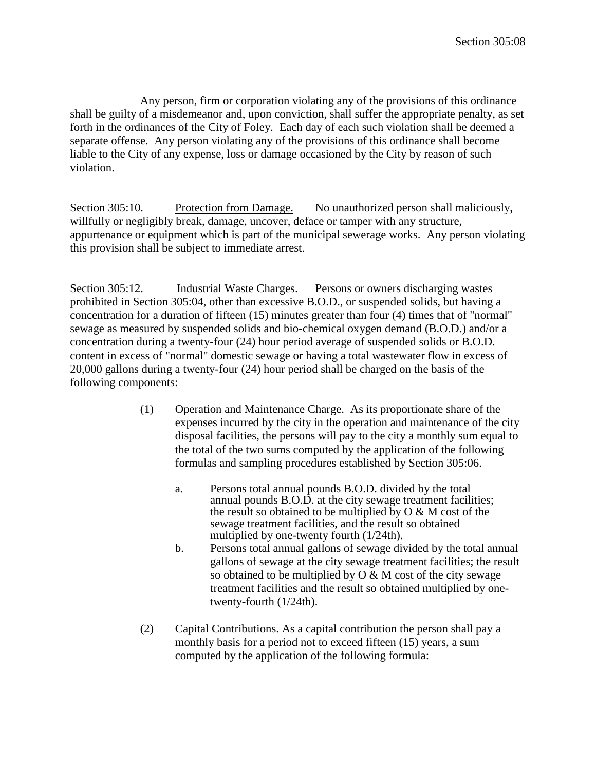Any person, firm or corporation violating any of the provisions of this ordinance shall be guilty of a misdemeanor and, upon conviction, shall suffer the appropriate penalty, as set forth in the ordinances of the City of Foley. Each day of each such violation shall be deemed a separate offense. Any person violating any of the provisions of this ordinance shall become liable to the City of any expense, loss or damage occasioned by the City by reason of such violation.

Section 305:10. Protection from Damage. No unauthorized person shall maliciously, willfully or negligibly break, damage, uncover, deface or tamper with any structure, appurtenance or equipment which is part of the municipal sewerage works. Any person violating this provision shall be subject to immediate arrest.

Section 305:12. Industrial Waste Charges. Persons or owners discharging wastes prohibited in Section 305:04, other than excessive B.O.D., or suspended solids, but having a concentration for a duration of fifteen (15) minutes greater than four (4) times that of "normal" sewage as measured by suspended solids and bio-chemical oxygen demand (B.O.D.) and/or a concentration during a twenty-four (24) hour period average of suspended solids or B.O.D. content in excess of "normal" domestic sewage or having a total wastewater flow in excess of 20,000 gallons during a twenty-four (24) hour period shall be charged on the basis of the following components:

- (1) Operation and Maintenance Charge. As its proportionate share of the expenses incurred by the city in the operation and maintenance of the city disposal facilities, the persons will pay to the city a monthly sum equal to the total of the two sums computed by the application of the following formulas and sampling procedures established by Section 305:06.
	- a. Persons total annual pounds B.O.D. divided by the total annual pounds B.O.D. at the city sewage treatment facilities; the result so obtained to be multiplied by  $O & M \text{ cost of the}$ sewage treatment facilities, and the result so obtained multiplied by one-twenty fourth (1/24th).
	- b. Persons total annual gallons of sewage divided by the total annual gallons of sewage at the city sewage treatment facilities; the result so obtained to be multiplied by  $O & M$  cost of the city sewage treatment facilities and the result so obtained multiplied by onetwenty-fourth (1/24th).
- (2) Capital Contributions. As a capital contribution the person shall pay a monthly basis for a period not to exceed fifteen (15) years, a sum computed by the application of the following formula: